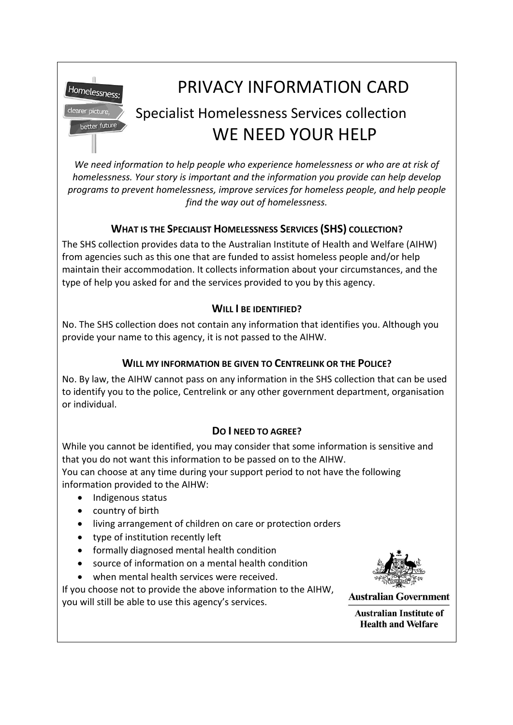

# PRIVACY INFORMATION CARD

## Specialist Homelessness Services collection WE NEED YOUR HELP

*We need information to help people who experience homelessness or who are at risk of homelessness. Your story is important and the information you provide can help develop programs to prevent homelessness, improve services for homeless people, and help people find the way out of homelessness.*

### **WHAT IS THE SPECIALIST HOMELESSNESS SERVICES (SHS) COLLECTION?**

The SHS collection provides data to the Australian Institute of Health and Welfare (AIHW) from agencies such as this one that are funded to assist homeless people and/or help maintain their accommodation. It collects information about your circumstances, and the type of help you asked for and the services provided to you by this agency.

#### **WILL I BE IDENTIFIED?**

No. The SHS collection does not contain any information that identifies you. Although you provide your name to this agency, it is not passed to the AIHW.

#### **WILL MY INFORMATION BE GIVEN TO CENTRELINK OR THE POLICE?**

No. By law, the AIHW cannot pass on any information in the SHS collection that can be used to identify you to the police, Centrelink or any other government department, organisation or individual.

#### **DO I NEED TO AGREE?**

While you cannot be identified, you may consider that some information is sensitive and that you do not want this information to be passed on to the AIHW. You can choose at any time during your support period to not have the following information provided to the AIHW:

- Indigenous status
- country of birth
- living arrangement of children on care or protection orders
- type of institution recently left
- formally diagnosed mental health condition
- source of information on a mental health condition
- when mental health services were received.

If you choose not to provide the above information to the AIHW, you will still be able to use this agency's services.



**Australian Government** 

**Australian Institute of Health and Welfare**